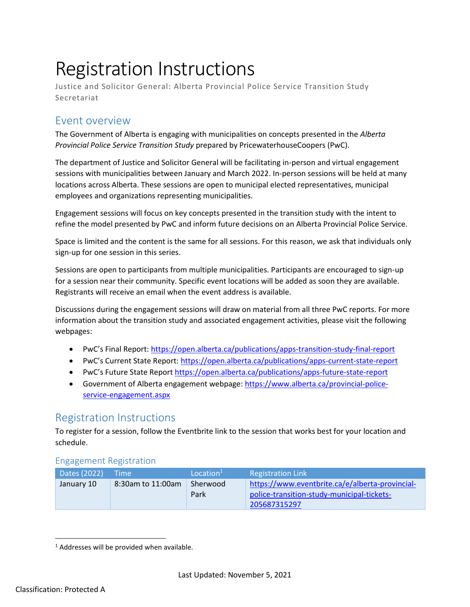## Registration Instructions

Justice and Solicitor General: Alberta Provincial Police Service Transition Study Secretariat

## Event overview

The Government of Alberta is engaging with municipalities on concepts presented in the *Alberta Provincial Police Service Transition Study* prepared by PricewaterhouseCoopers (PwC).

The department of Justice and Solicitor General will be facilitating in-person and virtual engagement sessions with municipalities between January and March 2022. In-person sessions will be held at many locations across Alberta. These sessions are open to municipal elected representatives, municipal employees and organizations representing municipalities.

Engagement sessions will focus on key concepts presented in the transition study with the intent to refine the model presented by PwC and inform future decisions on an Alberta Provincial Police Service.

Space is limited and the content is the same for all sessions. For this reason, we ask that individuals only sign-up for one session in this series.

Sessions are open to participants from multiple municipalities. Participants are encouraged to sign-up for a session near their community. Specific event locations will be added as soon they are available. Registrants will receive an email when the event address is available.

Discussions during the engagement sessions will draw on material from all three PwC reports. For more information about the transition study and associated engagement activities, please visit the following webpages:

- PwC's Final Report[: https://open.alberta.ca/publications/apps-transition-study-final-report](https://open.alberta.ca/publications/apps-transition-study-final-report)
- PwC's Current State Report:<https://open.alberta.ca/publications/apps-current-state-report>
- PwC's Future State Repor[t https://open.alberta.ca/publications/apps-future-state-report](https://open.alberta.ca/publications/apps-future-state-report)
- Government of Alberta engagement webpage: [https://www.alberta.ca/provincial-police](https://www.alberta.ca/provincial-police-service-engagement.aspx)[service-engagement.aspx](https://www.alberta.ca/provincial-police-service-engagement.aspx)

## Registration Instructions

To register for a session, follow the Eventbrite link to the session that works best for your location and schedule.

## Engagement Registration

| Dates (2022) | - Time i          | Location <sup>1</sup> | <b>Registration Link</b>                                                                                      |
|--------------|-------------------|-----------------------|---------------------------------------------------------------------------------------------------------------|
| January 10   | 8:30am to 11:00am | Sherwood<br>Park      | https://www.eventbrite.ca/e/alberta-provincial-<br>police-transition-study-municipal-tickets-<br>205687315297 |

 $\overline{a}$ 

<sup>&</sup>lt;sup>1</sup> Addresses will be provided when available.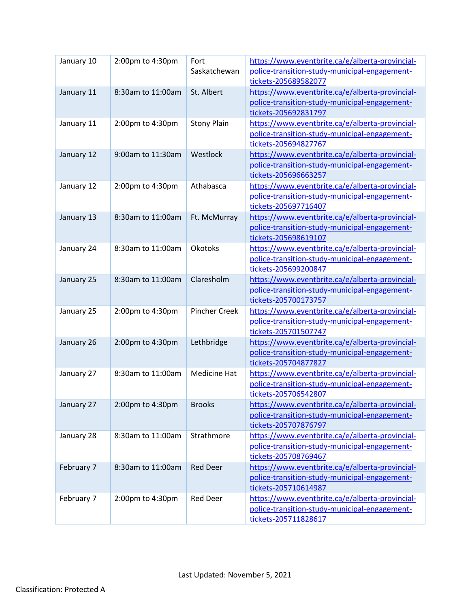| January 10 | 2:00pm to 4:30pm  | Fort<br>Saskatchewan | https://www.eventbrite.ca/e/alberta-provincial-<br>police-transition-study-municipal-engagement-<br>tickets-205689582077 |
|------------|-------------------|----------------------|--------------------------------------------------------------------------------------------------------------------------|
| January 11 | 8:30am to 11:00am | St. Albert           | https://www.eventbrite.ca/e/alberta-provincial-<br>police-transition-study-municipal-engagement-<br>tickets-205692831797 |
| January 11 | 2:00pm to 4:30pm  | <b>Stony Plain</b>   | https://www.eventbrite.ca/e/alberta-provincial-<br>police-transition-study-municipal-engagement-<br>tickets-205694827767 |
| January 12 | 9:00am to 11:30am | Westlock             | https://www.eventbrite.ca/e/alberta-provincial-<br>police-transition-study-municipal-engagement-<br>tickets-205696663257 |
| January 12 | 2:00pm to 4:30pm  | Athabasca            | https://www.eventbrite.ca/e/alberta-provincial-<br>police-transition-study-municipal-engagement-<br>tickets-205697716407 |
| January 13 | 8:30am to 11:00am | Ft. McMurray         | https://www.eventbrite.ca/e/alberta-provincial-<br>police-transition-study-municipal-engagement-<br>tickets-205698619107 |
| January 24 | 8:30am to 11:00am | <b>Okotoks</b>       | https://www.eventbrite.ca/e/alberta-provincial-<br>police-transition-study-municipal-engagement-<br>tickets-205699200847 |
| January 25 | 8:30am to 11:00am | Claresholm           | https://www.eventbrite.ca/e/alberta-provincial-<br>police-transition-study-municipal-engagement-<br>tickets-205700173757 |
| January 25 | 2:00pm to 4:30pm  | <b>Pincher Creek</b> | https://www.eventbrite.ca/e/alberta-provincial-<br>police-transition-study-municipal-engagement-<br>tickets-205701507747 |
| January 26 | 2:00pm to 4:30pm  | Lethbridge           | https://www.eventbrite.ca/e/alberta-provincial-<br>police-transition-study-municipal-engagement-<br>tickets-205704877827 |
| January 27 | 8:30am to 11:00am | <b>Medicine Hat</b>  | https://www.eventbrite.ca/e/alberta-provincial-<br>police-transition-study-municipal-engagement-<br>tickets-205706542807 |
| January 27 | 2:00pm to 4:30pm  | <b>Brooks</b>        | https://www.eventbrite.ca/e/alberta-provincial-<br>police-transition-study-municipal-engagement-<br>tickets-205707876797 |
| January 28 | 8:30am to 11:00am | Strathmore           | https://www.eventbrite.ca/e/alberta-provincial-<br>police-transition-study-municipal-engagement-<br>tickets-205708769467 |
| February 7 | 8:30am to 11:00am | <b>Red Deer</b>      | https://www.eventbrite.ca/e/alberta-provincial-<br>police-transition-study-municipal-engagement-<br>tickets-205710614987 |
| February 7 | 2:00pm to 4:30pm  | <b>Red Deer</b>      | https://www.eventbrite.ca/e/alberta-provincial-<br>police-transition-study-municipal-engagement-<br>tickets-205711828617 |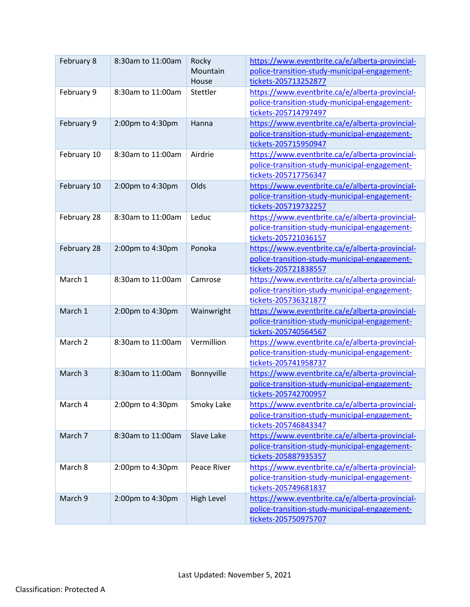| February 8  | 8:30am to 11:00am | Rocky<br>Mountain<br>House | https://www.eventbrite.ca/e/alberta-provincial-<br>police-transition-study-municipal-engagement-<br>tickets-205713252877 |
|-------------|-------------------|----------------------------|--------------------------------------------------------------------------------------------------------------------------|
| February 9  | 8:30am to 11:00am | Stettler                   | https://www.eventbrite.ca/e/alberta-provincial-<br>police-transition-study-municipal-engagement-<br>tickets-205714797497 |
| February 9  | 2:00pm to 4:30pm  | Hanna                      | https://www.eventbrite.ca/e/alberta-provincial-<br>police-transition-study-municipal-engagement-<br>tickets-205715950947 |
| February 10 | 8:30am to 11:00am | Airdrie                    | https://www.eventbrite.ca/e/alberta-provincial-<br>police-transition-study-municipal-engagement-<br>tickets-205717756347 |
| February 10 | 2:00pm to 4:30pm  | Olds                       | https://www.eventbrite.ca/e/alberta-provincial-<br>police-transition-study-municipal-engagement-<br>tickets-205719732257 |
| February 28 | 8:30am to 11:00am | Leduc                      | https://www.eventbrite.ca/e/alberta-provincial-<br>police-transition-study-municipal-engagement-<br>tickets-205721036157 |
| February 28 | 2:00pm to 4:30pm  | Ponoka                     | https://www.eventbrite.ca/e/alberta-provincial-<br>police-transition-study-municipal-engagement-<br>tickets-205721838557 |
| March 1     | 8:30am to 11:00am | Camrose                    | https://www.eventbrite.ca/e/alberta-provincial-<br>police-transition-study-municipal-engagement-<br>tickets-205736321877 |
| March 1     | 2:00pm to 4:30pm  | Wainwright                 | https://www.eventbrite.ca/e/alberta-provincial-<br>police-transition-study-municipal-engagement-<br>tickets-205740564567 |
| March 2     | 8:30am to 11:00am | Vermillion                 | https://www.eventbrite.ca/e/alberta-provincial-<br>police-transition-study-municipal-engagement-<br>tickets-205741958737 |
| March 3     | 8:30am to 11:00am | Bonnyville                 | https://www.eventbrite.ca/e/alberta-provincial-<br>police-transition-study-municipal-engagement-<br>tickets-205742700957 |
| March 4     | 2:00pm to 4:30pm  | Smoky Lake                 | https://www.eventbrite.ca/e/alberta-provincial-<br>police-transition-study-municipal-engagement-<br>tickets-205746843347 |
| March 7     | 8:30am to 11:00am | Slave Lake                 | https://www.eventbrite.ca/e/alberta-provincial-<br>police-transition-study-municipal-engagement-<br>tickets-205887935357 |
| March 8     | 2:00pm to 4:30pm  | Peace River                | https://www.eventbrite.ca/e/alberta-provincial-<br>police-transition-study-municipal-engagement-<br>tickets-205749681837 |
| March 9     | 2:00pm to 4:30pm  | High Level                 | https://www.eventbrite.ca/e/alberta-provincial-<br>police-transition-study-municipal-engagement-<br>tickets-205750975707 |